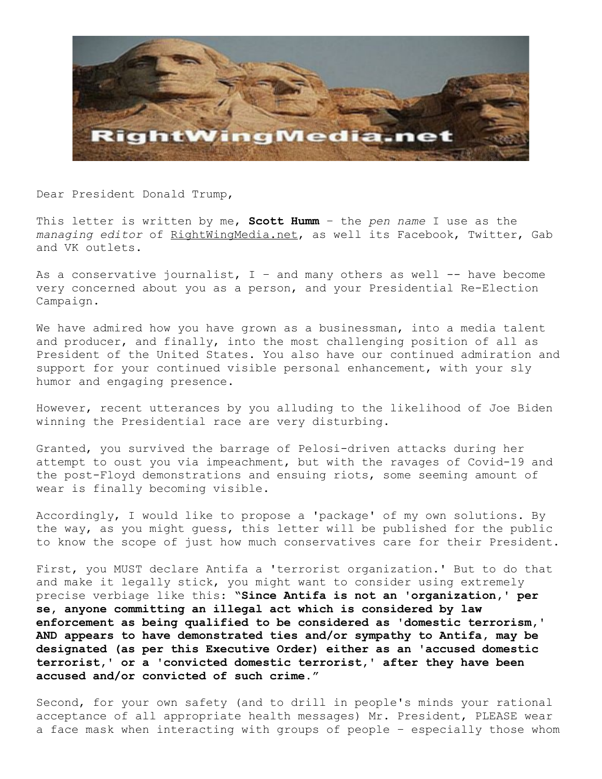

Dear President Donald Trump,

This letter is written by me, **Scott Humm** – the *pen name* I use as the *managing editor* of RightWingMedia.net, as well its Facebook, Twitter, Gab and VK outlets.

As a conservative journalist,  $I -$  and many others as well  $-$  have become very concerned about you as a person, and your Presidential Re-Election Campaign.

We have admired how you have grown as a businessman, into a media talent and producer, and finally, into the most challenging position of all as President of the United States. You also have our continued admiration and support for your continued visible personal enhancement, with your sly humor and engaging presence.

However, recent utterances by you alluding to the likelihood of Joe Biden winning the Presidential race are very disturbing.

Granted, you survived the barrage of Pelosi-driven attacks during her attempt to oust you via impeachment, but with the ravages of Covid-19 and the post-Floyd demonstrations and ensuing riots, some seeming amount of wear is finally becoming visible.

Accordingly, I would like to propose a 'package' of my own solutions. By the way, as you might guess, this letter will be published for the public to know the scope of just how much conservatives care for their President.

First, you MUST declare Antifa a 'terrorist organization.' But to do that and make it legally stick, you might want to consider using extremely precise verbiage like this: **"Since Antifa is not an 'organization,' per se, anyone committing an illegal act which is considered by law enforcement as being qualified to be considered as 'domestic terrorism,' AND appears to have demonstrated ties and/or sympathy to Antifa, may be designated (as per this Executive Order) either as an 'accused domestic terrorist,' or a 'convicted domestic terrorist,' after they have been accused and/or convicted of such crime."**

Second, for your own safety (and to drill in people's minds your rational acceptance of all appropriate health messages) Mr. President, PLEASE wear a face mask when interacting with groups of people – especially those whom